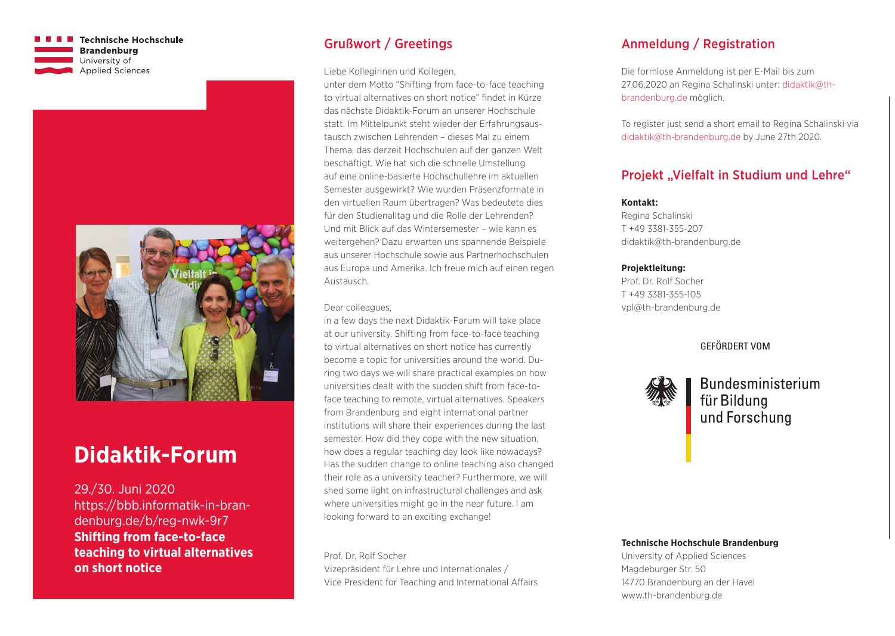**Technische Hochschule Brandenburg** University of **Applied Sciences** 



# **Didaktik-Forum**

29./30. Juni 2020 https://bbb.informatik-in-brandenburg.de/b/reg-nwk-9r7 **Shifting from face-to-face teaching to virtual alternatives on short notice**

# Grußwort / Greetings

Liebe Kolleginnen und Kollegen,

unter dem Motto "Shifting from face-to-face teaching to virtual alternatives on short notice" findet in Kürze das nächste Didaktik-Forum an unserer Hochschule statt. Im Mittelpunkt steht wieder der Erfahrungsaustausch zwischen Lehrenden – dieses Mal zu einem Thema, das derzeit Hochschulen auf der ganzen Welt beschäftigt. Wie hat sich die schnelle Umstellung auf eine online-basierte Hochschullehre im aktuellen Semester ausgewirkt? Wie wurden Präsenzformate in den virtuellen Raum übertragen? Was bedeutete dies für den Studienalltag und die Rolle der Lehrenden? Und mit Blick auf das Wintersemester – wie kann es weitergehen? Dazu erwarten uns spannende Beispiele aus unserer Hochschule sowie aus Partnerhochschulen aus Europa und Amerika. Ich freue mich auf einen regen Austausch.

#### Dear colleagues,

in a few days the next Didaktik-Forum will take place at our university. Shifting from face-to-face teaching to virtual alternatives on short notice has currently become a topic for universities around the world. During two days we will share practical examples on how universities dealt with the sudden shift from face-toface teaching to remote, virtual alternatives. Speakers from Brandenburg and eight international partner institutions will share their experiences during the last semester. How did they cope with the new situation, how does a regular teaching day look like nowadays? Has the sudden change to online teaching also changed their role as a university teacher? Furthermore, we will shed some light on infrastructural challenges and ask where universities might go in the near future. I am looking forward to an exciting exchange!

Prof. Dr. Rolf Socher Vizepräsident für Lehre und Internationales / Vice President for Teaching and International Affairs

# Anmeldung / Registration

Die formlose Anmeldung ist per E-Mail bis zum 27.06.2020 an Regina Schalinski unter: didaktik@thbrandenburg.de möglich.

To register just send a short email to Regina Schalinski via didaktik@th-brandenburg.de by June 27th 2020.

# Projekt "Vielfalt in Studium und Lehre"

#### **Kontakt:**

Regina Schalinski T +49 3381-355-207 didaktik@th-brandenburg.de

#### **Projektleitung:**

Prof. Dr. Rolf Socher T +49 3381-355-105 vpl@th-brandenburg.de

### **GEFÖRDERT VOM**



**Bundesministerium** für Bildung und Forschung

#### **Technische Hochschule Brandenburg**

University of Applied Sciences Magdeburger Str. 50 14770 Brandenburg an der Havel www.th-brandenburg.de